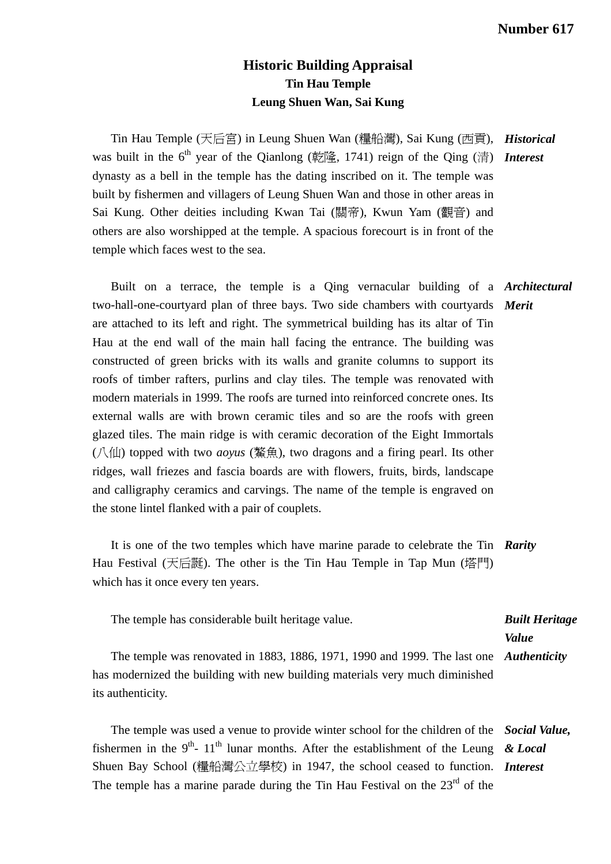## **Historic Building Appraisal Tin Hau Temple Leung Shuen Wan, Sai Kung**

Tin Hau Temple (天后宮) in Leung Shuen Wan (糧船灣), Sai Kung (西貢), *Historical*  was built in the 6<sup>th</sup> year of the Qianlong (乾隆, 1741) reign of the Qing (清) Interest dynasty as a bell in the temple has the dating inscribed on it. The temple was built by fishermen and villagers of Leung Shuen Wan and those in other areas in Sai Kung. Other deities including Kwan Tai (關帝), Kwun Yam (觀音) and others are also worshipped at the temple. A spacious forecourt is in front of the temple which faces west to the sea.

 Built on a terrace, the temple is a Qing vernacular building of a *Architectural*  two-hall-one-courtyard plan of three bays. Two side chambers with courtyards *Merit*  are attached to its left and right. The symmetrical building has its altar of Tin Hau at the end wall of the main hall facing the entrance. The building was constructed of green bricks with its walls and granite columns to support its roofs of timber rafters, purlins and clay tiles. The temple was renovated with modern materials in 1999. The roofs are turned into reinforced concrete ones. Its external walls are with brown ceramic tiles and so are the roofs with green glazed tiles. The main ridge is with ceramic decoration of the Eight Immortals (八仙) topped with two *aoyus* (鰲魚), two dragons and a firing pearl. Its other ridges, wall friezes and fascia boards are with flowers, fruits, birds, landscape and calligraphy ceramics and carvings. The name of the temple is engraved on the stone lintel flanked with a pair of couplets.

 It is one of the two temples which have marine parade to celebrate the Tin *Rarity*  Hau Festival (天后誕). The other is the Tin Hau Temple in Tap Mun (塔門) which has it once every ten years.

| The temple has considerable built heritage value.                                      | <b>Built Heritage</b> |
|----------------------------------------------------------------------------------------|-----------------------|
|                                                                                        | Value                 |
| The temple was renovated in 1883, 1886, 1971, 1990 and 1999. The last one Authenticity |                       |
| has modernized the building with new building materials very much diminished           |                       |
| its authenticity.                                                                      |                       |

 The temple was used a venue to provide winter school for the children of the *Social Value,*  fishermen in the 9<sup>th</sup>- 11<sup>th</sup> lunar months. After the establishment of the Leung  $\& Local$ Shuen Bay School (糧船灣公立學校) in 1947, the school ceased to function. *Interest*  The temple has a marine parade during the Tin Hau Festival on the  $23<sup>rd</sup>$  of the